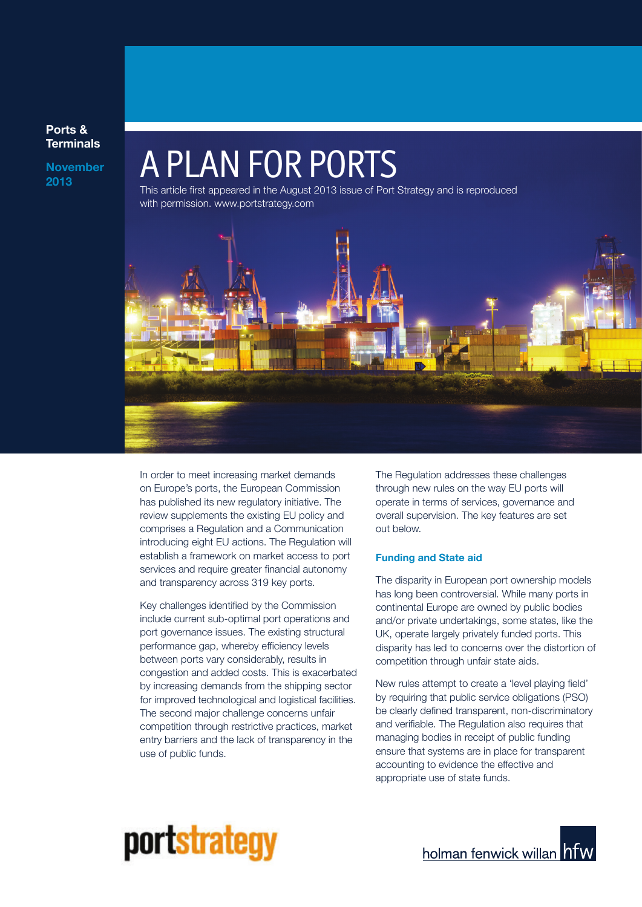### **Ports & Terminals**

**November**

# **November A PLAN FOR PORTS**

This article first appeared in the August 2013 issue of Port Strategy and is reproduced with permission. www.portstrategy.com



In order to meet increasing market demands on Europe's ports, the European Commission has published its new regulatory initiative. The review supplements the existing EU policy and comprises a Regulation and a Communication introducing eight EU actions. The Regulation will establish a framework on market access to port services and require greater financial autonomy and transparency across 319 key ports.

Key challenges identified by the Commission include current sub-optimal port operations and port governance issues. The existing structural performance gap, whereby efficiency levels between ports vary considerably, results in congestion and added costs. This is exacerbated by increasing demands from the shipping sector for improved technological and logistical facilities. The second major challenge concerns unfair competition through restrictive practices, market entry barriers and the lack of transparency in the use of public funds.

The Regulation addresses these challenges through new rules on the way EU ports will operate in terms of services, governance and overall supervision. The key features are set out below.

#### **Funding and State aid**

The disparity in European port ownership models has long been controversial. While many ports in continental Europe are owned by public bodies and/or private undertakings, some states, like the UK, operate largely privately funded ports. This disparity has led to concerns over the distortion of competition through unfair state aids.

New rules attempt to create a 'level playing field' by requiring that public service obligations (PSO) be clearly defined transparent, non-discriminatory and verifiable. The Regulation also requires that managing bodies in receipt of public funding ensure that systems are in place for transparent accounting to evidence the effective and appropriate use of state funds.